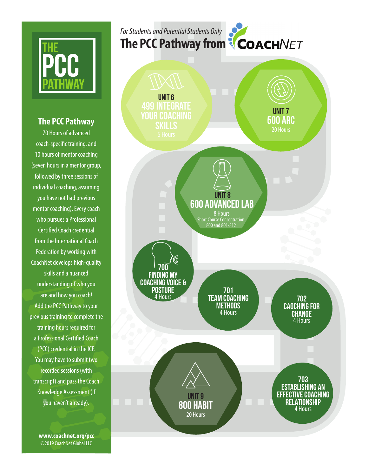#### **The PCC Pathway**

70 Hours of advanced coach-specific training, and 10 hours of mentor coaching (seven hours in a mentor group, followed by three sessions of individual coaching, assuming you have not had previous mentor coaching). Every coach who pursues a Professional Certified Coach credential from the International Coach Federation by working with CoachNet develops high-quality skills and a nuanced understanding of who you are and how you coach! Add the PCC Pathway to your previous training to complete the training hours required for a Professional Certified Coach (PCC) credential in the ICF. You may have to submit two recorded sessions (with transcript) and pass the Coach Knowledge Assessment (if you haven't already).

> ©2019 CoachNet Global LLC **www.coachnet.org/pcc**